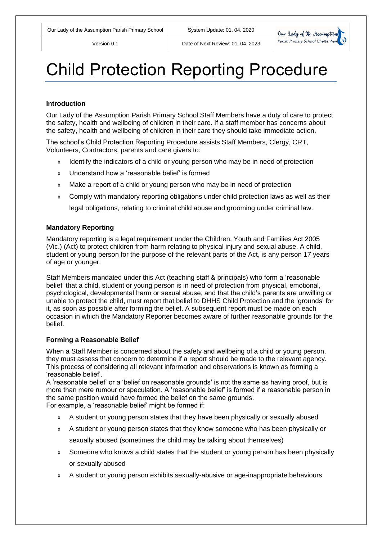

# Child Protection Reporting Procedure

#### **Introduction**

Our Lady of the Assumption Parish Primary School Staff Members have a duty of care to protect the safety, health and wellbeing of children in their care. If a staff member has concerns about the safety, health and wellbeing of children in their care they should take immediate action.

The school's Child Protection Reporting Procedure assists Staff Members, Clergy, CRT, Volunteers, Contractors, parents and care givers to:

- » Identify the indicators of a child or young person who may be in need of protection
- » Understand how a 'reasonable belief' is formed
- » Make a report of a child or young person who may be in need of protection
- » Comply with mandatory reporting obligations under child protection laws as well as their

legal obligations, relating to criminal child abuse and grooming under criminal law.

## **Mandatory Reporting**

Mandatory reporting is a legal requirement under the Children, Youth and Families Act 2005 (Vic.) (Act) to protect children from harm relating to physical injury and sexual abuse. A child, student or young person for the purpose of the relevant parts of the Act, is any person 17 years of age or younger.

Staff Members mandated under this Act (teaching staff & principals) who form a 'reasonable belief' that a child, student or young person is in need of protection from physical, emotional, psychological, developmental harm or sexual abuse, and that the child's parents are unwilling or unable to protect the child, must report that belief to DHHS Child Protection and the 'grounds' for it, as soon as possible after forming the belief. A subsequent report must be made on each occasion in which the Mandatory Reporter becomes aware of further reasonable grounds for the belief.

#### **Forming a Reasonable Belief**

When a Staff Member is concerned about the safety and wellbeing of a child or young person, they must assess that concern to determine if a report should be made to the relevant agency. This process of considering all relevant information and observations is known as forming a 'reasonable belief'.

A 'reasonable belief' or a 'belief on reasonable grounds' is not the same as having proof, but is more than mere rumour or speculation. A 'reasonable belief' is formed if a reasonable person in the same position would have formed the belief on the same grounds.

For example, a 'reasonable belief' might be formed if:

- » A student or young person states that they have been physically or sexually abused
- » A student or young person states that they know someone who has been physically or

sexually abused (sometimes the child may be talking about themselves)

- » Someone who knows a child states that the student or young person has been physically or sexually abused
- » A student or young person exhibits sexually-abusive or age-inappropriate behaviours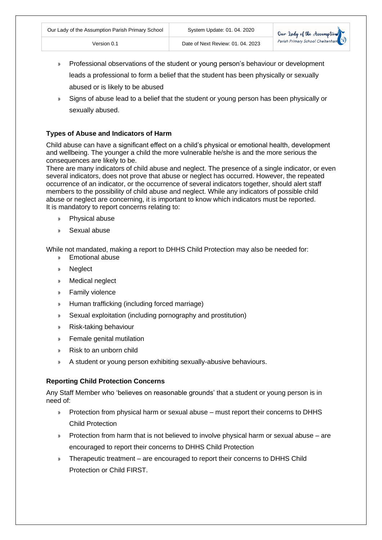- » Professional observations of the student or young person's behaviour or development leads a professional to form a belief that the student has been physically or sexually abused or is likely to be abused
- » Signs of abuse lead to a belief that the student or young person has been physically or sexually abused.

## **Types of Abuse and Indicators of Harm**

Child abuse can have a significant effect on a child's physical or emotional health, development and wellbeing. The younger a child the more vulnerable he/she is and the more serious the consequences are likely to be.

There are many indicators of child abuse and neglect. The presence of a single indicator, or even several indicators, does not prove that abuse or neglect has occurred. However, the repeated occurrence of an indicator, or the occurrence of several indicators together, should alert staff members to the possibility of child abuse and neglect. While any indicators of possible child abuse or neglect are concerning, it is important to know which indicators must be reported. It is mandatory to report concerns relating to:

- » Physical abuse
- » Sexual abuse

While not mandated, making a report to DHHS Child Protection may also be needed for:

- » Emotional abuse
- » Neglect
- » Medical neglect
- » Family violence
- » Human trafficking (including forced marriage)
- » Sexual exploitation (including pornography and prostitution)
- » Risk-taking behaviour
- » Female genital mutilation
- » Risk to an unborn child
- » A student or young person exhibiting sexually-abusive behaviours.

## **Reporting Child Protection Concerns**

Any Staff Member who 'believes on reasonable grounds' that a student or young person is in need of:

- » Protection from physical harm or sexual abuse must report their concerns to DHHS Child Protection
- » Protection from harm that is not believed to involve physical harm or sexual abuse are encouraged to report their concerns to DHHS Child Protection
- » Therapeutic treatment are encouraged to report their concerns to DHHS Child Protection or Child FIRST.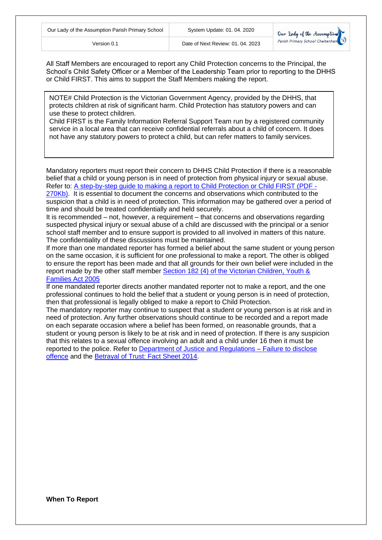

All Staff Members are encouraged to report any Child Protection concerns to the Principal, the School's Child Safety Officer or a Member of the Leadership Team prior to reporting to the DHHS or Child FIRST. This aims to support the Staff Members making the report.

NOTE# Child Protection is the Victorian Government Agency, provided by the DHHS, that protects children at risk of significant harm. Child Protection has statutory powers and can use these to protect children.

Child FIRST is the Family Information Referral Support Team run by a registered community service in a local area that can receive confidential referrals about a child of concern. It does not have any statutory powers to protect a child, but can refer matters to family services.

Mandatory reporters must report their concern to DHHS Child Protection if there is a reasonable belief that a child or young person is in need of protection from physical injury or sexual abuse. Refer to: [A step-by-step guide to making a report to Child Protection or Child FIRST \(PDF -](http://www.education.vic.gov.au/Documents/school/principals/spag/safety/makingareportchild.pdf) [270Kb\).](http://www.education.vic.gov.au/Documents/school/principals/spag/safety/makingareportchild.pdf) It is essential to document the concerns and observations which contributed to the

suspicion that a child is in need of protection. This information may be gathered over a period of time and should be treated confidentially and held securely.

It is recommended – not, however, a requirement – that concerns and observations regarding suspected physical injury or sexual abuse of a child are discussed with the principal or a senior school staff member and to ensure support is provided to all involved in matters of this nature. The confidentiality of these discussions must be maintained.

If more than one mandated reporter has formed a belief about the same student or young person on the same occasion, it is sufficient for one professional to make a report. The other is obliged to ensure the report has been made and that all grounds for their own belief were included in the report made by the other staff member Section 182 (4) [of the Victorian Children, Youth &](http://www.austlii.edu.au/au/legis/vic/consol_act/cyafa2005252/s182.html)  [Families Act 2005](http://www.austlii.edu.au/au/legis/vic/consol_act/cyafa2005252/s182.html)

If one mandated reporter directs another mandated reporter not to make a report, and the one professional continues to hold the belief that a student or young person is in need of protection, then that professional is legally obliged to make a report to Child Protection.

The mandatory reporter may continue to suspect that a student or young person is at risk and in need of protection. Any further observations should continue to be recorded and a report made on each separate occasion where a belief has been formed, on reasonable grounds, that a student or young person is likely to be at risk and in need of protection. If there is any suspicion that this relates to a sexual offence involving an adult and a child under 16 then it must be reported to the police. Refer to [Department of Justice and Regulations –](http://www.gvcasa.com.au/documents/failure+to+disclose.pdf) Failure to disclose [offence](http://www.gvcasa.com.au/documents/failure+to+disclose.pdf) and the [Betrayal of Trust: Fact Sheet 2014.](http://www.gvcasa.com.au/documents/failure+to+disclose.pdf)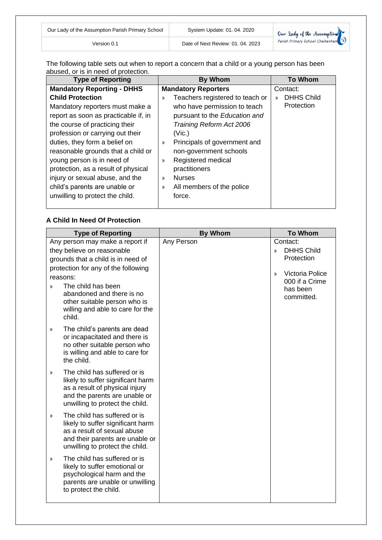| Our Lady of the Assumption Parish Primary School | System Update: 01.04.2020         | Our Lady of the Assumption       |
|--------------------------------------------------|-----------------------------------|----------------------------------|
| Version 0.1                                      | Date of Next Review: 01, 04, 2023 | Parish Primary School Cheltenham |

The following table sets out when to report a concern that a child or a young person has been abused, or is in need of protection.

| <b>Type of Reporting</b>                                                                                                                                                                                                                        | <b>By Whom</b>                                                                                                                                                                        | <b>To Whom</b>                        |
|-------------------------------------------------------------------------------------------------------------------------------------------------------------------------------------------------------------------------------------------------|---------------------------------------------------------------------------------------------------------------------------------------------------------------------------------------|---------------------------------------|
| <b>Mandatory Reporting - DHHS</b>                                                                                                                                                                                                               | <b>Mandatory Reporters</b>                                                                                                                                                            | Contact:                              |
| <b>Child Protection</b><br>Mandatory reporters must make a<br>report as soon as practicable if, in<br>the course of practicing their<br>profession or carrying out their                                                                        | Teachers registered to teach or<br>»<br>who have permission to teach<br>pursuant to the Education and<br>Training Reform Act 2006<br>(Vic.)                                           | <b>DHHS Child</b><br>у)<br>Protection |
| duties, they form a belief on<br>reasonable grounds that a child or<br>young person is in need of<br>protection, as a result of physical<br>injury or sexual abuse, and the<br>child's parents are unable or<br>unwilling to protect the child. | Principals of government and<br>$\mathcal{Y}$<br>non-government schools<br>Registered medical<br>»<br>practitioners<br><b>Nurses</b><br>»<br>All members of the police<br>»<br>force. |                                       |

# **A Child In Need Of Protection**

|            | <b>To Whom</b>                     |
|------------|------------------------------------|
| Any Person | Contact:                           |
|            | <b>DHHS Child</b><br>$\mathcal{Y}$ |
|            | Protection                         |
|            | Victoria Police<br>$\mathcal{Y}$   |
|            | 000 if a Crime                     |
|            | has been                           |
|            | committed.                         |
|            |                                    |
|            |                                    |
|            |                                    |
|            |                                    |
|            |                                    |
|            |                                    |
|            |                                    |
|            |                                    |
|            |                                    |
|            |                                    |
|            | <b>By Whom</b>                     |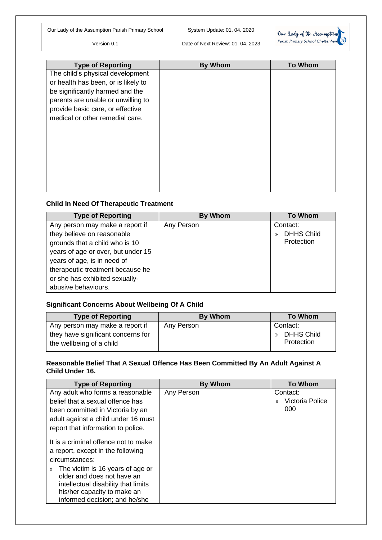| Our Lady of the Assumption Parish Primary School | System Update: 01. 04. 2020       | Our lady of the Assumption       |
|--------------------------------------------------|-----------------------------------|----------------------------------|
| Version 0.1                                      | Date of Next Review: 01, 04, 2023 | Parish Primary School Cheltenham |

| <b>Type of Reporting</b>            | <b>By Whom</b> | <b>To Whom</b> |
|-------------------------------------|----------------|----------------|
| The child's physical development    |                |                |
| or health has been, or is likely to |                |                |
| be significantly harmed and the     |                |                |
| parents are unable or unwilling to  |                |                |
| provide basic care, or effective    |                |                |
| medical or other remedial care.     |                |                |
|                                     |                |                |
|                                     |                |                |
|                                     |                |                |
|                                     |                |                |
|                                     |                |                |
|                                     |                |                |
|                                     |                |                |
|                                     |                |                |

# **Child In Need Of Therapeutic Treatment**

| <b>Type of Reporting</b>                                                                                                                                                                                                                                          | <b>By Whom</b> | <b>To Whom</b>                                               |
|-------------------------------------------------------------------------------------------------------------------------------------------------------------------------------------------------------------------------------------------------------------------|----------------|--------------------------------------------------------------|
| Any person may make a report if<br>they believe on reasonable<br>grounds that a child who is 10<br>years of age or over, but under 15<br>years of age, is in need of<br>therapeutic treatment because he<br>or she has exhibited sexually-<br>abusive behaviours. | Any Person     | Contact:<br><b>DHHS Child</b><br>$\mathcal{V}$<br>Protection |

# **Significant Concerns About Wellbeing Of A Child**

| <b>Type of Reporting</b>                                                                          | By Whom    | <b>To Whom</b>                              |
|---------------------------------------------------------------------------------------------------|------------|---------------------------------------------|
| Any person may make a report if<br>they have significant concerns for<br>the wellbeing of a child | Any Person | Contact:<br><b>DHHS Child</b><br>Protection |

# **Reasonable Belief That A Sexual Offence Has Been Committed By An Adult Against A Child Under 16.**

| <b>Type of Reporting</b>                                                                                   | <b>By Whom</b> | <b>To Whom</b>        |
|------------------------------------------------------------------------------------------------------------|----------------|-----------------------|
| Any adult who forms a reasonable                                                                           | Any Person     | Contact:              |
| belief that a sexual offence has                                                                           |                | Victoria Police<br>у) |
| been committed in Victoria by an                                                                           |                | 000                   |
| adult against a child under 16 must                                                                        |                |                       |
| report that information to police.                                                                         |                |                       |
| It is a criminal offence not to make<br>a report, except in the following<br>circumstances:                |                |                       |
| The victim is 16 years of age or<br>»<br>older and does not have an<br>intellectual disability that limits |                |                       |
| his/her capacity to make an<br>informed decision; and he/she                                               |                |                       |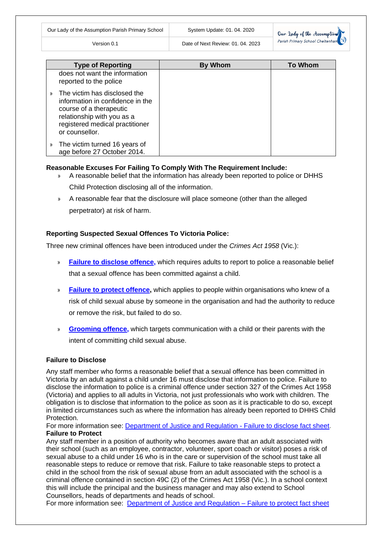

|    | <b>Type of Reporting</b>                                                                                                                                                       | <b>By Whom</b> | <b>To Whom</b> |
|----|--------------------------------------------------------------------------------------------------------------------------------------------------------------------------------|----------------|----------------|
|    | does not want the information<br>reported to the police                                                                                                                        |                |                |
| >> | The victim has disclosed the<br>information in confidence in the<br>course of a therapeutic<br>relationship with you as a<br>registered medical practitioner<br>or counsellor. |                |                |
| »  | The victim turned 16 years of<br>age before 27 October 2014.                                                                                                                   |                |                |

Version 0.1 Date of Next Review: 01. 04. 2023

## **Reasonable Excuses For Failing To Comply With The Requirement Include:**

- » A reasonable belief that the information has already been reported to police or DHHS Child Protection disclosing all of the information.
- » A reasonable fear that the disclosure will place someone (other than the alleged perpetrator) at risk of harm.

## **Reporting Suspected Sexual Offences To Victoria Police:**

Three new criminal offences have been introduced under the *Crimes Act 1958* (Vic.):

- » **[Failure to disclose offence,](http://www.justice.vic.gov.au/home/safer+communities/protecting+children+and+families/failure+to+disclose+offence)** which requires adults to report to police a reasonable belief that a sexual offence has been committed against a child.
- » **[Failure to protect offence,](http://www.justice.vic.gov.au/home/safer+communities/protecting+children+and+families/failure+to+protect+offence)** which applies to people within organisations who knew of a risk of child sexual abuse by someone in the organisation and had the authority to reduce or remove the risk, but failed to do so.
- » **[Grooming offence,](http://www.justice.vic.gov.au/home/safer+communities/protecting+children+and+families/grooming+offence)** which targets communication with a child or their parents with the intent of committing child sexual abuse.

## **Failure to Disclose**

Any staff member who forms a reasonable belief that a sexual offence has been committed in Victoria by an adult against a child under 16 must disclose that information to police. Failure to disclose the information to police is a criminal offence under section 327 of the Crimes Act 1958 (Victoria) and applies to all adults in Victoria, not just professionals who work with children. The obligation is to disclose that information to the police as soon as it is practicable to do so, except in limited circumstances such as where the information has already been reported to DHHS Child Protection.

For more information see: [Department of Justice and Regulation -](http://www.justice.vic.gov.au/home/safer+communities/protecting+children+and+families/failure+to+disclose+offence) Failure to disclose fact sheet. **Failure to Protect**

Any staff member in a position of authority who becomes aware that an adult associated with their school (such as an employee, contractor, volunteer, sport coach or visitor) poses a risk of sexual abuse to a child under 16 who is in the care or supervision of the school must take all reasonable steps to reduce or remove that risk. Failure to take reasonable steps to protect a child in the school from the risk of sexual abuse from an adult associated with the school is a criminal offence contained in section 49C (2) of the Crimes Act 1958 (Vic.). In a school context this will include the principal and the business manager and may also extend to School Counsellors, heads of departments and heads of school.

For more information see: [Department of Justice and Regulation –](http://www.justice.vic.gov.au/home/safer+communities/protecting+children+and+families/failure+to+protect+offence) Failure to protect fact sheet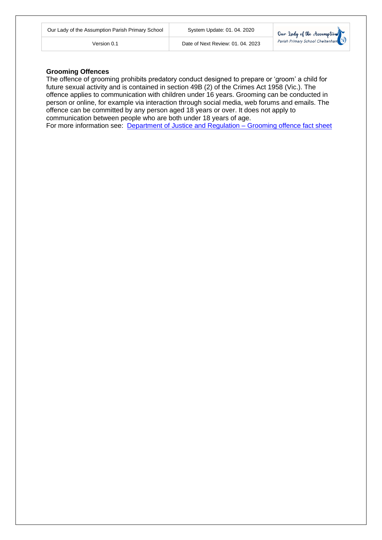| Our Lady of the Assumption Parish Primary Schoo |  |  |  |
|-------------------------------------------------|--|--|--|
|-------------------------------------------------|--|--|--|

#### **Grooming Offences**

The offence of grooming prohibits predatory conduct designed to prepare or 'groom' a child for future sexual activity and is contained in section 49B (2) of the Crimes Act 1958 (Vic.). The offence applies to communication with children under 16 years. Grooming can be conducted in person or online, for example via interaction through social media, web forums and emails. The offence can be committed by any person aged 18 years or over. It does not apply to communication between people who are both under 18 years of age. For more information see: [Department of Justice and Regulation –](http://www.justice.vic.gov.au/home/safer+communities/protecting+children+and+families/grooming+offence) Grooming offence fact sheet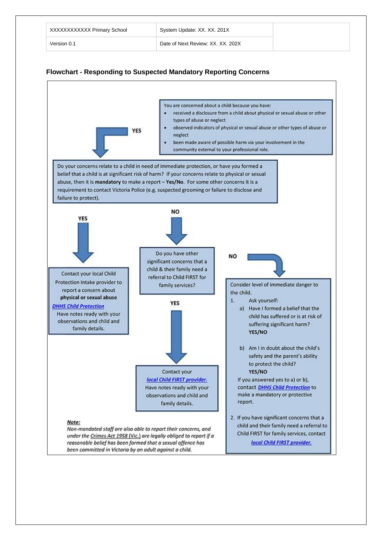| XXXXXXXXXXX Primary School | System Update: XX. XX. 201X       |
|----------------------------|-----------------------------------|
| Version 0.1                | Date of Next Review: XX, XX, 202X |



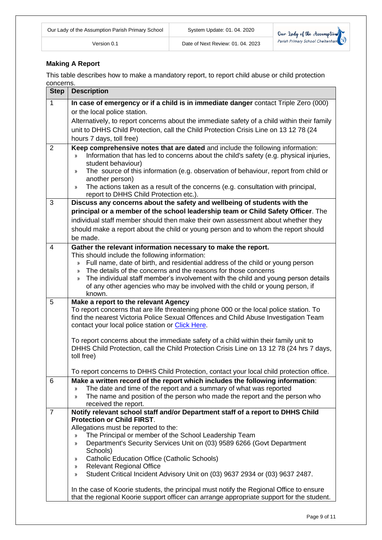$\bigcirc$ 

# **Making A Report**

This table describes how to make a mandatory report, to report child abuse or child protection concerns.

| <b>Step</b>    | <b>Description</b>                                                                                                                                                                   |  |
|----------------|--------------------------------------------------------------------------------------------------------------------------------------------------------------------------------------|--|
| $\mathbf{1}$   | In case of emergency or if a child is in immediate danger contact Triple Zero (000)                                                                                                  |  |
|                | or the local police station.                                                                                                                                                         |  |
|                | Alternatively, to report concerns about the immediate safety of a child within their family                                                                                          |  |
|                | unit to DHHS Child Protection, call the Child Protection Crisis Line on 13 12 78 (24                                                                                                 |  |
|                | hours 7 days, toll free)                                                                                                                                                             |  |
| 2              | Keep comprehensive notes that are dated and include the following information:                                                                                                       |  |
|                | Information that has led to concerns about the child's safety (e.g. physical injuries,<br>$\mathcal{V}$                                                                              |  |
|                | student behaviour)                                                                                                                                                                   |  |
|                | The source of this information (e.g. observation of behaviour, report from child or<br>»                                                                                             |  |
|                | another person)                                                                                                                                                                      |  |
|                | The actions taken as a result of the concerns (e.g. consultation with principal,<br>»<br>report to DHHS Child Protection etc.).                                                      |  |
| 3              | Discuss any concerns about the safety and wellbeing of students with the                                                                                                             |  |
|                | principal or a member of the school leadership team or Child Safety Officer. The                                                                                                     |  |
|                | individual staff member should then make their own assessment about whether they                                                                                                     |  |
|                | should make a report about the child or young person and to whom the report should                                                                                                   |  |
|                | be made.                                                                                                                                                                             |  |
| 4              | Gather the relevant information necessary to make the report.                                                                                                                        |  |
|                | This should include the following information:                                                                                                                                       |  |
|                | Full name, date of birth, and residential address of the child or young person<br>$\mathcal{V}$                                                                                      |  |
|                | The details of the concerns and the reasons for those concerns<br>$\mathcal{Y}$                                                                                                      |  |
|                | The individual staff member's involvement with the child and young person details<br>»                                                                                               |  |
|                | of any other agencies who may be involved with the child or young person, if                                                                                                         |  |
|                | known.                                                                                                                                                                               |  |
| 5              | Make a report to the relevant Agency                                                                                                                                                 |  |
|                | To report concerns that are life threatening phone 000 or the local police station. To<br>find the nearest Victoria Police Sexual Offences and Child Abuse Investigation Team        |  |
|                | contact your local police station or Click Here.                                                                                                                                     |  |
|                |                                                                                                                                                                                      |  |
|                | To report concerns about the immediate safety of a child within their family unit to                                                                                                 |  |
|                | DHHS Child Protection, call the Child Protection Crisis Line on 13 12 78 (24 hrs 7 days,                                                                                             |  |
|                | toll free)                                                                                                                                                                           |  |
|                | To report concerns to DHHS Child Protection, contact your local child protection office.                                                                                             |  |
| 6              | Make a written record of the report which includes the following information:                                                                                                        |  |
|                | The date and time of the report and a summary of what was reported<br>$\mathcal{Y}$                                                                                                  |  |
|                | The name and position of the person who made the report and the person who<br>»                                                                                                      |  |
|                | received the report.                                                                                                                                                                 |  |
| $\overline{7}$ | Notify relevant school staff and/or Department staff of a report to DHHS Child                                                                                                       |  |
|                | <b>Protection or Child FIRST.</b>                                                                                                                                                    |  |
|                | Allegations must be reported to the:                                                                                                                                                 |  |
|                | The Principal or member of the School Leadership Team<br>»<br>Department's Security Services Unit on (03) 9589 6266 (Govt Department                                                 |  |
|                | »<br>Schools)                                                                                                                                                                        |  |
|                | <b>Catholic Education Office (Catholic Schools)</b><br>»                                                                                                                             |  |
|                | <b>Relevant Regional Office</b><br>»                                                                                                                                                 |  |
|                | Student Critical Incident Advisory Unit on (03) 9637 2934 or (03) 9637 2487.<br>»                                                                                                    |  |
|                |                                                                                                                                                                                      |  |
|                |                                                                                                                                                                                      |  |
|                | In the case of Koorie students, the principal must notify the Regional Office to ensure<br>that the regional Koorie support officer can arrange appropriate support for the student. |  |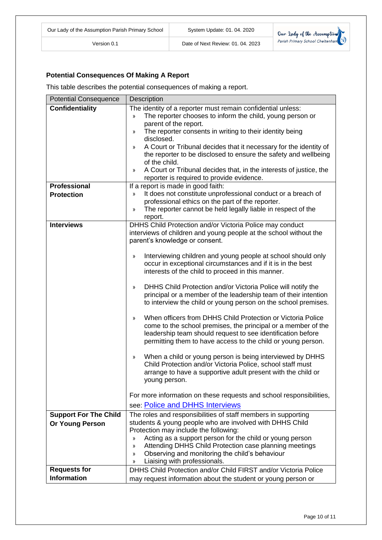

# **Potential Consequences Of Making A Report**

This table describes the potential consequences of making a report.

| <b>Potential Consequence</b>                                | Description                                                                                                                                                                                                                                                                                                                                                                                                                                                                                                                                                                                                                                                                                                                                                                                                                                                                                                                                                                                                                                                                                                                                                                        |  |  |
|-------------------------------------------------------------|------------------------------------------------------------------------------------------------------------------------------------------------------------------------------------------------------------------------------------------------------------------------------------------------------------------------------------------------------------------------------------------------------------------------------------------------------------------------------------------------------------------------------------------------------------------------------------------------------------------------------------------------------------------------------------------------------------------------------------------------------------------------------------------------------------------------------------------------------------------------------------------------------------------------------------------------------------------------------------------------------------------------------------------------------------------------------------------------------------------------------------------------------------------------------------|--|--|
| <b>Confidentiality</b><br>Professional<br><b>Protection</b> | The identity of a reporter must remain confidential unless:<br>The reporter chooses to inform the child, young person or<br>))<br>parent of the report.<br>The reporter consents in writing to their identity being<br>»<br>disclosed.<br>A Court or Tribunal decides that it necessary for the identity of<br>$\mathcal{V}$<br>the reporter to be disclosed to ensure the safety and wellbeing<br>of the child.<br>A Court or Tribunal decides that, in the interests of justice, the<br>$\mathcal{V}$<br>reporter is required to provide evidence.<br>If a report is made in good faith:<br>It does not constitute unprofessional conduct or a breach of<br>))                                                                                                                                                                                                                                                                                                                                                                                                                                                                                                                   |  |  |
|                                                             | professional ethics on the part of the reporter.<br>The reporter cannot be held legally liable in respect of the<br>»<br>report.                                                                                                                                                                                                                                                                                                                                                                                                                                                                                                                                                                                                                                                                                                                                                                                                                                                                                                                                                                                                                                                   |  |  |
| <b>Interviews</b>                                           | DHHS Child Protection and/or Victoria Police may conduct<br>interviews of children and young people at the school without the<br>parent's knowledge or consent.<br>Interviewing children and young people at school should only<br>$\rangle\!\rangle$<br>occur in exceptional circumstances and if it is in the best<br>interests of the child to proceed in this manner.<br>DHHS Child Protection and/or Victoria Police will notify the<br>»<br>principal or a member of the leadership team of their intention<br>to interview the child or young person on the school premises.<br>When officers from DHHS Child Protection or Victoria Police<br>»<br>come to the school premises, the principal or a member of the<br>leadership team should request to see identification before<br>permitting them to have access to the child or young person.<br>When a child or young person is being interviewed by DHHS<br>»<br>Child Protection and/or Victoria Police, school staff must<br>arrange to have a supportive adult present with the child or<br>young person.<br>For more information on these requests and school responsibilities,<br>see: Police and DHHS Interviews |  |  |
| <b>Support For The Child</b><br><b>Or Young Person</b>      | The roles and responsibilities of staff members in supporting<br>students & young people who are involved with DHHS Child                                                                                                                                                                                                                                                                                                                                                                                                                                                                                                                                                                                                                                                                                                                                                                                                                                                                                                                                                                                                                                                          |  |  |
|                                                             | Protection may include the following:<br>Acting as a support person for the child or young person<br>»<br>Attending DHHS Child Protection case planning meetings<br>»<br>Observing and monitoring the child's behaviour<br>»<br>Liaising with professionals.<br>$\mathcal{V}$                                                                                                                                                                                                                                                                                                                                                                                                                                                                                                                                                                                                                                                                                                                                                                                                                                                                                                      |  |  |
| <b>Requests for</b>                                         | DHHS Child Protection and/or Child FIRST and/or Victoria Police                                                                                                                                                                                                                                                                                                                                                                                                                                                                                                                                                                                                                                                                                                                                                                                                                                                                                                                                                                                                                                                                                                                    |  |  |
| <b>Information</b>                                          | may request information about the student or young person or                                                                                                                                                                                                                                                                                                                                                                                                                                                                                                                                                                                                                                                                                                                                                                                                                                                                                                                                                                                                                                                                                                                       |  |  |